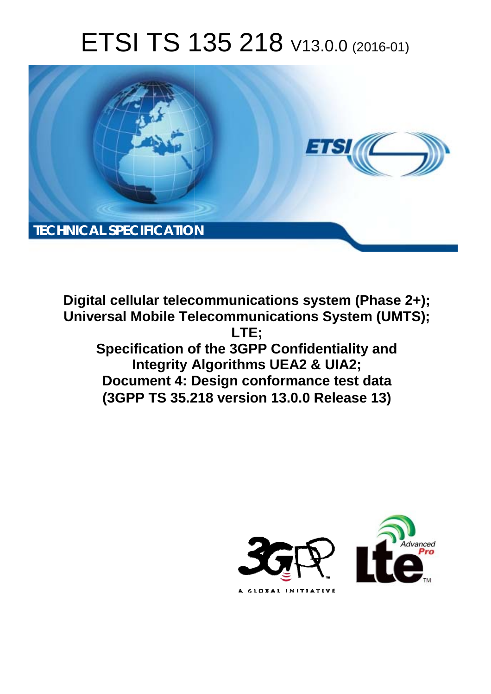# ETSI TS 135 218 V13.0.0 (2016-01)



Digital cellular telecommunications system (Phase 2+); Universal Mobile Telecommunications System (UMTS); LTE: Specification of the 3GPP Confidentiality and Integrity Algorithms UEA2 & UIA2; Document 4: Design conformance test data (3GPP TS 35.218 version 13.0.0 Release 13)

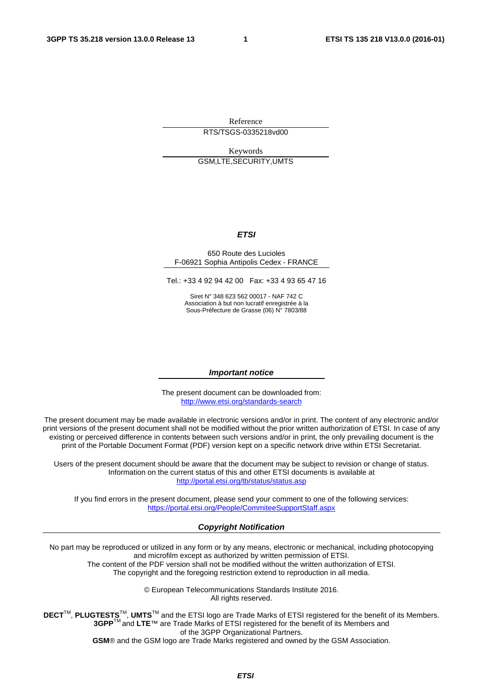Reference RTS/TSGS-0335218vd00

Keywords GSM,LTE,SECURITY,UMTS

#### *ETSI*

#### 650 Route des Lucioles F-06921 Sophia Antipolis Cedex - FRANCE

Tel.: +33 4 92 94 42 00 Fax: +33 4 93 65 47 16

Siret N° 348 623 562 00017 - NAF 742 C Association à but non lucratif enregistrée à la Sous-Préfecture de Grasse (06) N° 7803/88

#### *Important notice*

The present document can be downloaded from: <http://www.etsi.org/standards-search>

The present document may be made available in electronic versions and/or in print. The content of any electronic and/or print versions of the present document shall not be modified without the prior written authorization of ETSI. In case of any existing or perceived difference in contents between such versions and/or in print, the only prevailing document is the print of the Portable Document Format (PDF) version kept on a specific network drive within ETSI Secretariat.

Users of the present document should be aware that the document may be subject to revision or change of status. Information on the current status of this and other ETSI documents is available at <http://portal.etsi.org/tb/status/status.asp>

If you find errors in the present document, please send your comment to one of the following services: <https://portal.etsi.org/People/CommiteeSupportStaff.aspx>

#### *Copyright Notification*

No part may be reproduced or utilized in any form or by any means, electronic or mechanical, including photocopying and microfilm except as authorized by written permission of ETSI.

The content of the PDF version shall not be modified without the written authorization of ETSI. The copyright and the foregoing restriction extend to reproduction in all media.

> © European Telecommunications Standards Institute 2016. All rights reserved.

**DECT**TM, **PLUGTESTS**TM, **UMTS**TM and the ETSI logo are Trade Marks of ETSI registered for the benefit of its Members. **3GPP**TM and **LTE**™ are Trade Marks of ETSI registered for the benefit of its Members and of the 3GPP Organizational Partners.

**GSM**® and the GSM logo are Trade Marks registered and owned by the GSM Association.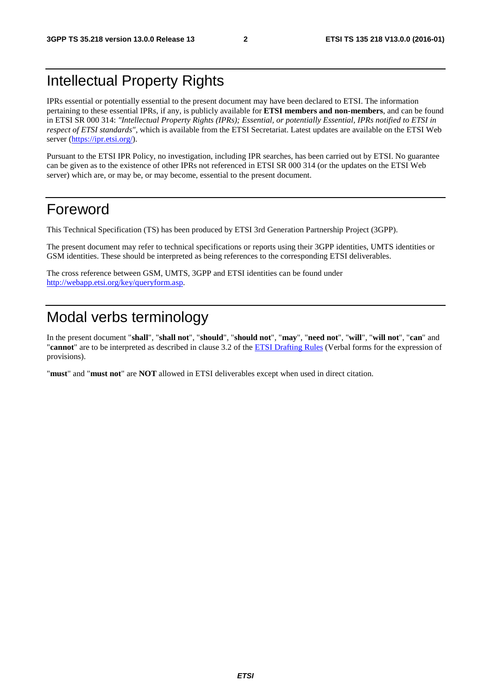## Intellectual Property Rights

IPRs essential or potentially essential to the present document may have been declared to ETSI. The information pertaining to these essential IPRs, if any, is publicly available for **ETSI members and non-members**, and can be found in ETSI SR 000 314: *"Intellectual Property Rights (IPRs); Essential, or potentially Essential, IPRs notified to ETSI in respect of ETSI standards"*, which is available from the ETSI Secretariat. Latest updates are available on the ETSI Web server [\(https://ipr.etsi.org/](https://ipr.etsi.org/)).

Pursuant to the ETSI IPR Policy, no investigation, including IPR searches, has been carried out by ETSI. No guarantee can be given as to the existence of other IPRs not referenced in ETSI SR 000 314 (or the updates on the ETSI Web server) which are, or may be, or may become, essential to the present document.

### Foreword

This Technical Specification (TS) has been produced by ETSI 3rd Generation Partnership Project (3GPP).

The present document may refer to technical specifications or reports using their 3GPP identities, UMTS identities or GSM identities. These should be interpreted as being references to the corresponding ETSI deliverables.

The cross reference between GSM, UMTS, 3GPP and ETSI identities can be found under [http://webapp.etsi.org/key/queryform.asp.](http://webapp.etsi.org/key/queryform.asp)

# Modal verbs terminology

In the present document "**shall**", "**shall not**", "**should**", "**should not**", "**may**", "**need not**", "**will**", "**will not**", "**can**" and "**cannot**" are to be interpreted as described in clause 3.2 of the [ETSI Drafting Rules](http://portal.etsi.org/Help/editHelp!/Howtostart/ETSIDraftingRules.aspx) (Verbal forms for the expression of provisions).

"**must**" and "**must not**" are **NOT** allowed in ETSI deliverables except when used in direct citation.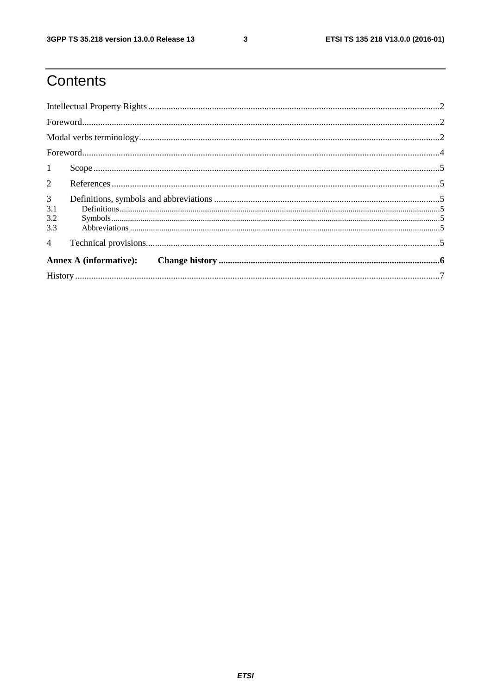$\mathbf{3}$ 

# Contents

| 1                                   |  |  |  |  |  |
|-------------------------------------|--|--|--|--|--|
| $\overline{2}$                      |  |  |  |  |  |
| $\mathfrak{Z}$<br>3.1<br>3.2<br>3.3 |  |  |  |  |  |
| $\overline{4}$                      |  |  |  |  |  |
| <b>Annex A (informative):</b>       |  |  |  |  |  |
|                                     |  |  |  |  |  |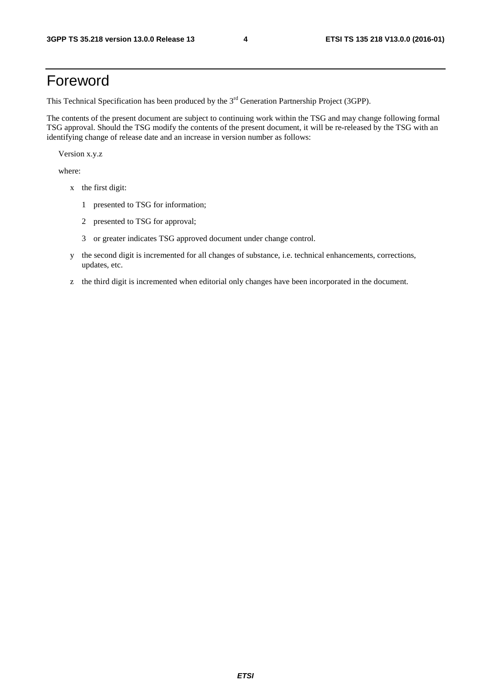## Foreword

This Technical Specification has been produced by the 3<sup>rd</sup> Generation Partnership Project (3GPP).

The contents of the present document are subject to continuing work within the TSG and may change following formal TSG approval. Should the TSG modify the contents of the present document, it will be re-released by the TSG with an identifying change of release date and an increase in version number as follows:

Version x.y.z

where:

- x the first digit:
	- 1 presented to TSG for information;
	- 2 presented to TSG for approval;
	- 3 or greater indicates TSG approved document under change control.
- y the second digit is incremented for all changes of substance, i.e. technical enhancements, corrections, updates, etc.
- z the third digit is incremented when editorial only changes have been incorporated in the document.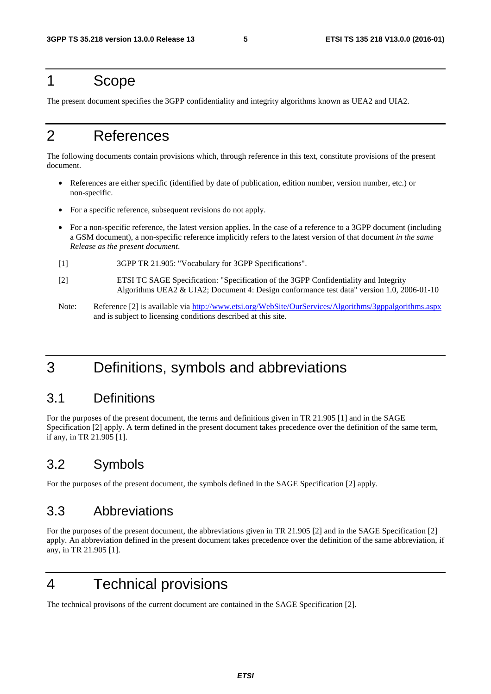#### 1 Scope

The present document specifies the 3GPP confidentiality and integrity algorithms known as UEA2 and UIA2.

## 2 References

The following documents contain provisions which, through reference in this text, constitute provisions of the present document.

- References are either specific (identified by date of publication, edition number, version number, etc.) or non-specific.
- For a specific reference, subsequent revisions do not apply.
- For a non-specific reference, the latest version applies. In the case of a reference to a 3GPP document (including a GSM document), a non-specific reference implicitly refers to the latest version of that document *in the same Release as the present document*.
- [1] 3GPP TR 21.905: "Vocabulary for 3GPP Specifications".
- [2] ETSI TC SAGE Specification: "Specification of the 3GPP Confidentiality and Integrity Algorithms UEA2 & UIA2; Document 4: Design conformance test data" version 1.0, 2006-01-10
- Note: Reference [2] is available via <http://www.etsi.org/WebSite/OurServices/Algorithms/3gppalgorithms.aspx> and is subject to licensing conditions described at this site.

# 3 Definitions, symbols and abbreviations

#### 3.1 Definitions

For the purposes of the present document, the terms and definitions given in TR 21.905 [1] and in the SAGE Specification [2] apply. A term defined in the present document takes precedence over the definition of the same term, if any, in TR 21.905 [1].

#### 3.2 Symbols

For the purposes of the present document, the symbols defined in the SAGE Specification [2] apply.

#### 3.3 Abbreviations

For the purposes of the present document, the abbreviations given in TR 21.905 [2] and in the SAGE Specification [2] apply. An abbreviation defined in the present document takes precedence over the definition of the same abbreviation, if any, in TR 21.905 [1].

# 4 Technical provisions

The technical provisons of the current document are contained in the SAGE Specification [2].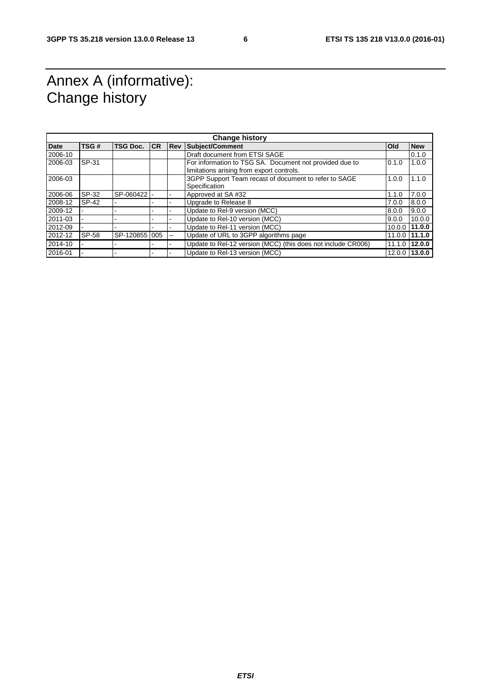# Annex A (informative): Change history

| <b>Change history</b> |       |                 |           |                          |                                                                                                      |            |                |  |
|-----------------------|-------|-----------------|-----------|--------------------------|------------------------------------------------------------------------------------------------------|------------|----------------|--|
| <b>Date</b>           | TSG#  | <b>TSG Doc.</b> | <b>CR</b> | <b>Rev</b>               | Subject/Comment                                                                                      | <b>Old</b> | <b>New</b>     |  |
| 2006-10               |       |                 |           |                          | Draft document from ETSI SAGE                                                                        |            | 0.1.0          |  |
| 2006-03               | SP-31 |                 |           |                          | For information to TSG SA. Document not provided due to<br>limitations arising from export controls. | 0.1.0      | 1.0.0          |  |
| 2006-03               |       |                 |           |                          | 3GPP Support Team recast of document to refer to SAGE<br>Specification                               | 1.0.0      | 1.1.0          |  |
| 2006-06               | SP-32 | SP-060422       |           |                          | Approved at SA #32                                                                                   | 1.1.0      | 7.0.0          |  |
| 2008-12               | SP-42 |                 |           |                          | Upgrade to Release 8                                                                                 | 7.0.0      | 8.0.0          |  |
| 2009-12               |       |                 |           |                          | Update to Rel-9 version (MCC)                                                                        | 8.0.0      | 9.0.0          |  |
| 2011-03               |       |                 |           |                          | Update to Rel-10 version (MCC)                                                                       | 9.0.0      | 10.0.0         |  |
| 2012-09               |       |                 |           |                          | Update to Rel-11 version (MCC)                                                                       |            | 10.0.0 11.0.0  |  |
| 2012-12               | SP-58 | SP-120855 005   |           | $\overline{\phantom{a}}$ | Update of URL to 3GPP algorithms page                                                                |            | 11.0.0 111.1.0 |  |
| 2014-10               |       |                 |           |                          | Update to Rel-12 version (MCC) (this does not include CR006)                                         | 11.1.0     | 12.0.0         |  |
| 2016-01               |       |                 |           |                          | Update to Rel-13 version (MCC)                                                                       |            | 12.0.0 13.0.0  |  |